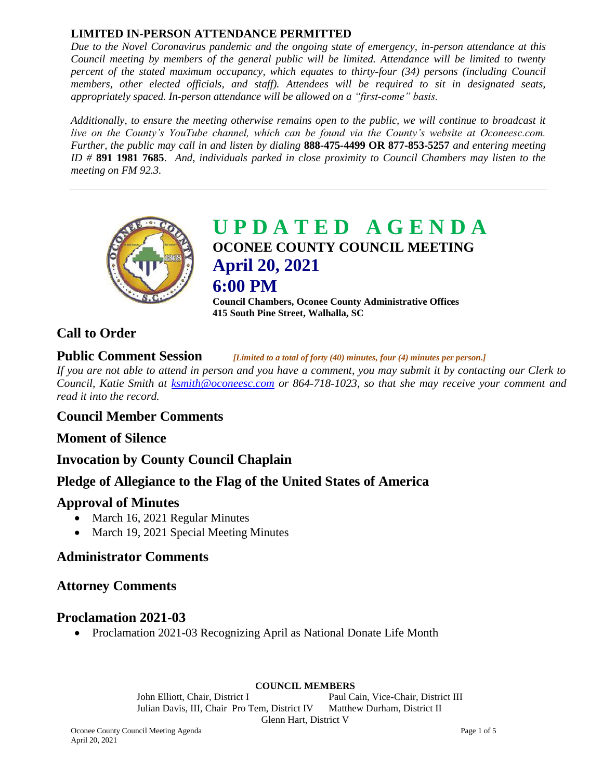## **LIMITED IN-PERSON ATTENDANCE PERMITTED**

*Due to the Novel Coronavirus pandemic and the ongoing state of emergency, in-person attendance at this Council meeting by members of the general public will be limited. Attendance will be limited to twenty percent of the stated maximum occupancy, which equates to thirty-four (34) persons (including Council members, other elected officials, and staff). Attendees will be required to sit in designated seats, appropriately spaced. In-person attendance will be allowed on a "first-come" basis.*

*Additionally, to ensure the meeting otherwise remains open to the public, we will continue to broadcast it live on the County's YouTube channel, which can be found via the County's website at Oconeesc.com. Further, the public may call in and listen by dialing* **888-475-4499 OR 877-853-5257** *and entering meeting ID #* **891 1981 7685**. *And, individuals parked in close proximity to Council Chambers may listen to the meeting on FM 92.3.*



**U P D A T E D A G E N D A OCONEE COUNTY COUNCIL MEETING April 20, 2021 6:00 PM**

**Council Chambers, Oconee County Administrative Offices 415 South Pine Street, Walhalla, SC**

# **Call to Order**

**Public Comment Session** *[Limited to a total of forty (40) minutes, four (4) minutes per person.]*

*If you are not able to attend in person and you have a comment, you may submit it by contacting our Clerk to Council, Katie Smith at [ksmith@oconeesc.com](mailto:ksmith@oconeesc.com) or 864-718-1023, so that she may receive your comment and read it into the record.* 

## **Council Member Comments**

## **Moment of Silence**

**Invocation by County Council Chaplain** 

# **Pledge of Allegiance to the Flag of the United States of America**

## **Approval of Minutes**

- March 16, 2021 Regular Minutes
- March 19, 2021 Special Meeting Minutes

# **Administrator Comments**

## **Attorney Comments**

## **Proclamation 2021-03**

• Proclamation 2021-03 Recognizing April as National Donate Life Month

#### **COUNCIL MEMBERS**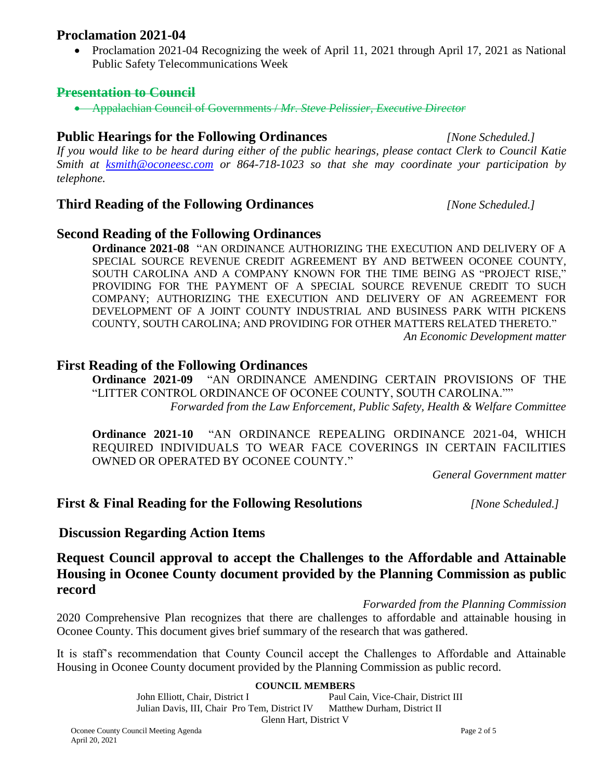#### **Proclamation 2021-04**

• Proclamation 2021-04 Recognizing the week of April 11, 2021 through April 17, 2021 as National Public Safety Telecommunications Week

#### **Presentation to Council**

Appalachian Council of Governments / *Mr. Steve Pelissier, Executive Director*

# **Public Hearings for the Following Ordinances** *[None Scheduled.]*

*If you would like to be heard during either of the public hearings, please contact Clerk to Council Katie Smith at [ksmith@oconeesc.com](mailto:ksmith@oconeesc.com) or 864-718-1023 so that she may coordinate your participation by telephone.*

## **Third Reading of the Following Ordinances** *[None Scheduled.]*

# **Second Reading of the Following Ordinances**

**Ordinance 2021-08** "AN ORDINANCE AUTHORIZING THE EXECUTION AND DELIVERY OF A SPECIAL SOURCE REVENUE CREDIT AGREEMENT BY AND BETWEEN OCONEE COUNTY, SOUTH CAROLINA AND A COMPANY KNOWN FOR THE TIME BEING AS "PROJECT RISE," PROVIDING FOR THE PAYMENT OF A SPECIAL SOURCE REVENUE CREDIT TO SUCH COMPANY; AUTHORIZING THE EXECUTION AND DELIVERY OF AN AGREEMENT FOR DEVELOPMENT OF A JOINT COUNTY INDUSTRIAL AND BUSINESS PARK WITH PICKENS COUNTY, SOUTH CAROLINA; AND PROVIDING FOR OTHER MATTERS RELATED THERETO." *An Economic Development matter*

#### **First Reading of the Following Ordinances**

**Ordinance 2021-09** "AN ORDINANCE AMENDING CERTAIN PROVISIONS OF THE "LITTER CONTROL ORDINANCE OF OCONEE COUNTY, SOUTH CAROLINA."" *Forwarded from the Law Enforcement, Public Safety, Health & Welfare Committee*

**Ordinance 2021-10** "AN ORDINANCE REPEALING ORDINANCE 2021-04, WHICH REQUIRED INDIVIDUALS TO WEAR FACE COVERINGS IN CERTAIN FACILITIES OWNED OR OPERATED BY OCONEE COUNTY."

*General Government matter*

## **First & Final Reading for the Following Resolutions** *[None Scheduled.]*

# **Discussion Regarding Action Items**

# **Request Council approval to accept the Challenges to the Affordable and Attainable Housing in Oconee County document provided by the Planning Commission as public record**

*Forwarded from the Planning Commission*

2020 Comprehensive Plan recognizes that there are challenges to affordable and attainable housing in Oconee County. This document gives brief summary of the research that was gathered.

It is staff's recommendation that County Council accept the Challenges to Affordable and Attainable Housing in Oconee County document provided by the Planning Commission as public record.

#### **COUNCIL MEMBERS**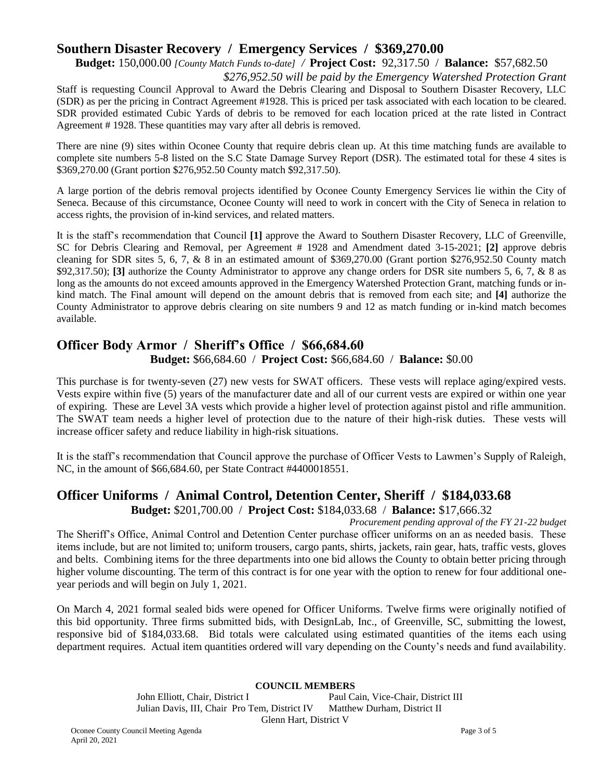# **Southern Disaster Recovery / Emergency Services / \$369,270.00**

**Budget:** 150,000.00 *[County Match Funds to-date] /* **Project Cost:** 92,317.50 / **Balance:** \$57,682.50

*\$276,952.50 will be paid by the Emergency Watershed Protection Grant* Staff is requesting Council Approval to Award the Debris Clearing and Disposal to Southern Disaster Recovery, LLC (SDR) as per the pricing in Contract Agreement #1928. This is priced per task associated with each location to be cleared. SDR provided estimated Cubic Yards of debris to be removed for each location priced at the rate listed in Contract Agreement # 1928. These quantities may vary after all debris is removed.

There are nine (9) sites within Oconee County that require debris clean up. At this time matching funds are available to complete site numbers 5-8 listed on the S.C State Damage Survey Report (DSR). The estimated total for these 4 sites is \$369,270.00 (Grant portion \$276,952.50 County match \$92,317.50).

A large portion of the debris removal projects identified by Oconee County Emergency Services lie within the City of Seneca. Because of this circumstance, Oconee County will need to work in concert with the City of Seneca in relation to access rights, the provision of in-kind services, and related matters.

It is the staff's recommendation that Council **[1]** approve the Award to Southern Disaster Recovery, LLC of Greenville, SC for Debris Clearing and Removal, per Agreement # 1928 and Amendment dated 3-15-2021; **[2]** approve debris cleaning for SDR sites 5, 6, 7, & 8 in an estimated amount of \$369,270.00 (Grant portion \$276,952.50 County match \$92,317.50); **[3]** authorize the County Administrator to approve any change orders for DSR site numbers 5, 6, 7, & 8 as long as the amounts do not exceed amounts approved in the Emergency Watershed Protection Grant, matching funds or inkind match. The Final amount will depend on the amount debris that is removed from each site; and **[4]** authorize the County Administrator to approve debris clearing on site numbers 9 and 12 as match funding or in-kind match becomes available.

# **Officer Body Armor / Sheriff's Office / \$66,684.60 Budget:** \$66,684.60 / **Project Cost:** \$66,684.60 / **Balance:** \$0.00

This purchase is for twenty-seven (27) new vests for SWAT officers. These vests will replace aging/expired vests. Vests expire within five (5) years of the manufacturer date and all of our current vests are expired or within one year of expiring. These are Level 3A vests which provide a higher level of protection against pistol and rifle ammunition. The SWAT team needs a higher level of protection due to the nature of their high-risk duties. These vests will increase officer safety and reduce liability in high-risk situations.

It is the staff's recommendation that Council approve the purchase of Officer Vests to Lawmen's Supply of Raleigh, NC, in the amount of \$66,684.60, per State Contract #4400018551.

#### **Officer Uniforms / Animal Control, Detention Center, Sheriff / \$184,033.68 Budget:** \$201,700.00 / **Project Cost:** \$184,033.68 / **Balance:** \$17,666.32

*Procurement pending approval of the FY 21-22 budget* The Sheriff's Office, Animal Control and Detention Center purchase officer uniforms on an as needed basis. These items include, but are not limited to; uniform trousers, cargo pants, shirts, jackets, rain gear, hats, traffic vests, gloves and belts. Combining items for the three departments into one bid allows the County to obtain better pricing through higher volume discounting. The term of this contract is for one year with the option to renew for four additional oneyear periods and will begin on July 1, 2021.

On March 4, 2021 formal sealed bids were opened for Officer Uniforms. Twelve firms were originally notified of this bid opportunity. Three firms submitted bids, with DesignLab, Inc., of Greenville, SC, submitting the lowest, responsive bid of \$184,033.68. Bid totals were calculated using estimated quantities of the items each using department requires. Actual item quantities ordered will vary depending on the County's needs and fund availability.

#### **COUNCIL MEMBERS**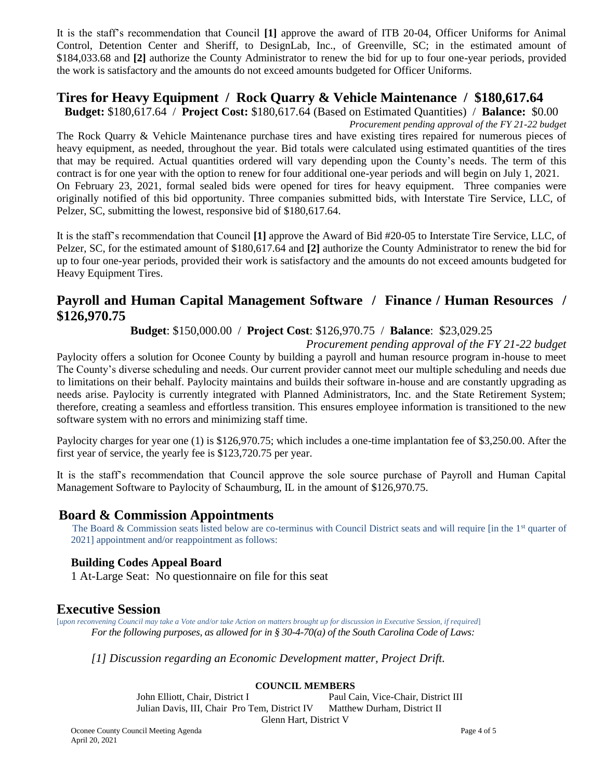It is the staff's recommendation that Council **[1]** approve the award of ITB 20-04, Officer Uniforms for Animal Control, Detention Center and Sheriff, to DesignLab, Inc., of Greenville, SC; in the estimated amount of \$184,033.68 and **[2]** authorize the County Administrator to renew the bid for up to four one-year periods, provided the work is satisfactory and the amounts do not exceed amounts budgeted for Officer Uniforms.

## **Tires for Heavy Equipment / Rock Quarry & Vehicle Maintenance / \$180,617.64**

**Budget:** \$180,617.64 / **Project Cost:** \$180,617.64 (Based on Estimated Quantities) / **Balance:** \$0.00

*Procurement pending approval of the FY 21-22 budget* The Rock Quarry & Vehicle Maintenance purchase tires and have existing tires repaired for numerous pieces of

heavy equipment, as needed, throughout the year. Bid totals were calculated using estimated quantities of the tires that may be required. Actual quantities ordered will vary depending upon the County's needs. The term of this contract is for one year with the option to renew for four additional one-year periods and will begin on July 1, 2021. On February 23, 2021, formal sealed bids were opened for tires for heavy equipment. Three companies were originally notified of this bid opportunity. Three companies submitted bids, with Interstate Tire Service, LLC, of Pelzer, SC, submitting the lowest, responsive bid of \$180,617.64.

It is the staff's recommendation that Council **[1]** approve the Award of Bid #20-05 to Interstate Tire Service, LLC, of Pelzer, SC, for the estimated amount of \$180,617.64 and **[2]** authorize the County Administrator to renew the bid for up to four one-year periods, provided their work is satisfactory and the amounts do not exceed amounts budgeted for Heavy Equipment Tires.

# **Payroll and Human Capital Management Software / Finance / Human Resources / \$126,970.75**

**Budget**: \$150,000.00 / **Project Cost**: \$126,970.75 / **Balance**: \$23,029.25

*Procurement pending approval of the FY 21-22 budget*

Paylocity offers a solution for Oconee County by building a payroll and human resource program in-house to meet The County's diverse scheduling and needs. Our current provider cannot meet our multiple scheduling and needs due to limitations on their behalf. Paylocity maintains and builds their software in-house and are constantly upgrading as needs arise. Paylocity is currently integrated with Planned Administrators, Inc. and the State Retirement System; therefore, creating a seamless and effortless transition. This ensures employee information is transitioned to the new software system with no errors and minimizing staff time.

Paylocity charges for year one (1) is \$126,970.75; which includes a one-time implantation fee of \$3,250.00. After the first year of service, the yearly fee is \$123,720.75 per year.

It is the staff's recommendation that Council approve the sole source purchase of Payroll and Human Capital Management Software to Paylocity of Schaumburg, IL in the amount of \$126,970.75.

# **Board & Commission Appointments**

The Board & Commission seats listed below are co-terminus with Council District seats and will require [in the 1<sup>st</sup> quarter of 2021] appointment and/or reappointment as follows:

## **Building Codes Appeal Board**

1 At-Large Seat: No questionnaire on file for this seat

# **Executive Session**

[*upon reconvening Council may take a Vote and/or take Action on matters brought up for discussion in Executive Session, if required*] *For the following purposes, as allowed for in § 30-4-70(a) of the South Carolina Code of Laws:* 

*[1] Discussion regarding an Economic Development matter, Project Drift.*

#### **COUNCIL MEMBERS**